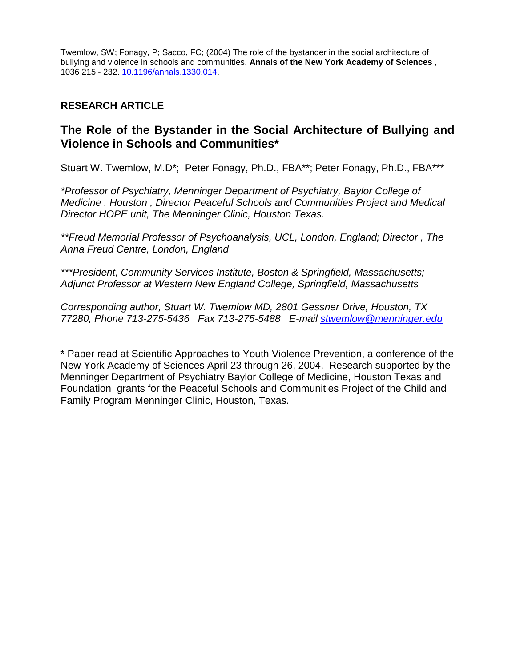Twemlow, SW; Fonagy, P; Sacco, FC; (2004) The role of the bystander in the social architecture of bullying and violence in schools and communities. **Annals of the New York Academy of Sciences** , 1036 215 - 232. 10.1196/annals.1330.014.

# **RESEARCH ARTICLE**

# **The Role of the Bystander in the Social Architecture of Bullying and Violence in Schools and Communities\***

Stuart W. Twemlow, M.D\*; Peter Fonagy, Ph.D., FBA\*\*; Peter Fonagy, Ph.D., FBA\*\*\*

*\*Professor of Psychiatry, Menninger Department of Psychiatry, Baylor College of Medicine . Houston , Director Peaceful Schools and Communities Project and Medical Director HOPE unit, The Menninger Clinic, Houston Texas.*

*\*\*Freud Memorial Professor of Psychoanalysis, UCL, London, England; Director , The Anna Freud Centre, London, England*

*\*\*\*President, Community Services Institute, Boston & Springfield, Massachusetts; Adjunct Professor at Western New England College, Springfield, Massachusetts*

*Corresponding author, Stuart W. Twemlow MD, 2801 Gessner Drive, Houston, TX 77280, Phone 713-275-5436 Fax 713-275-5488 E-mail [stwemlow@menninger.edu](mailto:stwemlow@menninger.edu)*

\* Paper read at Scientific Approaches to Youth Violence Prevention, a conference of the New York Academy of Sciences April 23 through 26, 2004. Research supported by the Menninger Department of Psychiatry Baylor College of Medicine, Houston Texas and Foundation grants for the Peaceful Schools and Communities Project of the Child and Family Program Menninger Clinic, Houston, Texas.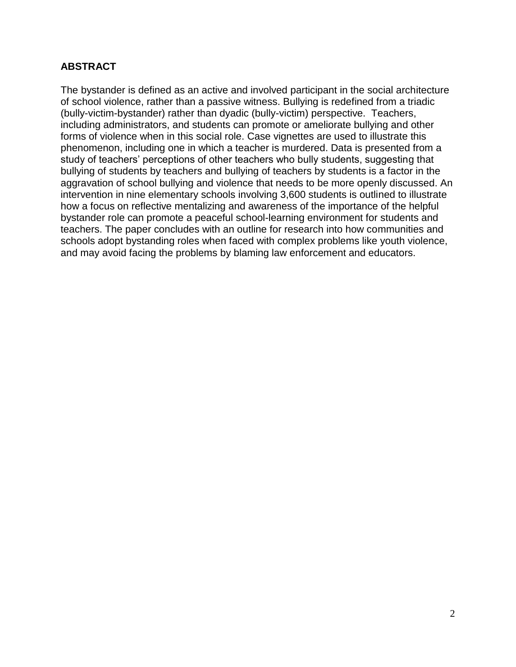# **ABSTRACT**

The bystander is defined as an active and involved participant in the social architecture of school violence, rather than a passive witness. Bullying is redefined from a triadic (bully-victim-bystander) rather than dyadic (bully-victim) perspective. Teachers, including administrators, and students can promote or ameliorate bullying and other forms of violence when in this social role. Case vignettes are used to illustrate this phenomenon, including one in which a teacher is murdered. Data is presented from a study of teachers' perceptions of other teachers who bully students, suggesting that bullying of students by teachers and bullying of teachers by students is a factor in the aggravation of school bullying and violence that needs to be more openly discussed. An intervention in nine elementary schools involving 3,600 students is outlined to illustrate how a focus on reflective mentalizing and awareness of the importance of the helpful bystander role can promote a peaceful school-learning environment for students and teachers. The paper concludes with an outline for research into how communities and schools adopt bystanding roles when faced with complex problems like youth violence, and may avoid facing the problems by blaming law enforcement and educators.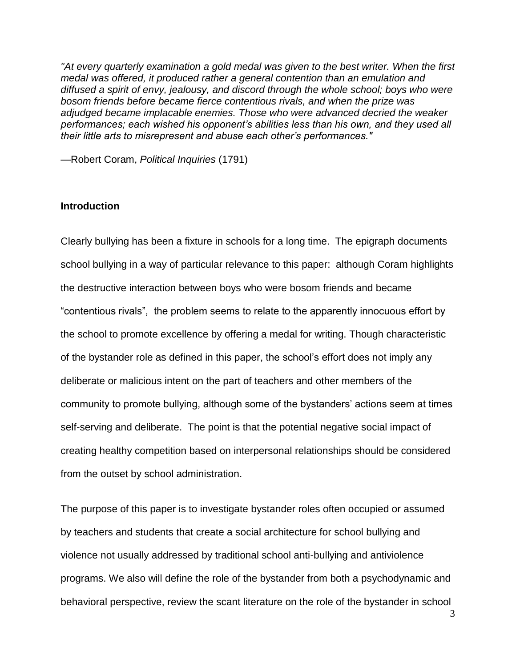*"At every quarterly examination a gold medal was given to the best writer. When the first medal was offered, it produced rather a general contention than an emulation and diffused a spirit of envy, jealousy, and discord through the whole school; boys who were bosom friends before became fierce contentious rivals, and when the prize was adjudged became implacable enemies. Those who were advanced decried the weaker performances; each wished his opponent's abilities less than his own, and they used all their little arts to misrepresent and abuse each other's performances."*

—Robert Coram, *Political Inquiries* (1791)

#### **Introduction**

Clearly bullying has been a fixture in schools for a long time. The epigraph documents school bullying in a way of particular relevance to this paper: although Coram highlights the destructive interaction between boys who were bosom friends and became "contentious rivals", the problem seems to relate to the apparently innocuous effort by the school to promote excellence by offering a medal for writing. Though characteristic of the bystander role as defined in this paper, the school's effort does not imply any deliberate or malicious intent on the part of teachers and other members of the community to promote bullying, although some of the bystanders' actions seem at times self-serving and deliberate. The point is that the potential negative social impact of creating healthy competition based on interpersonal relationships should be considered from the outset by school administration.

The purpose of this paper is to investigate bystander roles often occupied or assumed by teachers and students that create a social architecture for school bullying and violence not usually addressed by traditional school anti-bullying and antiviolence programs. We also will define the role of the bystander from both a psychodynamic and behavioral perspective, review the scant literature on the role of the bystander in school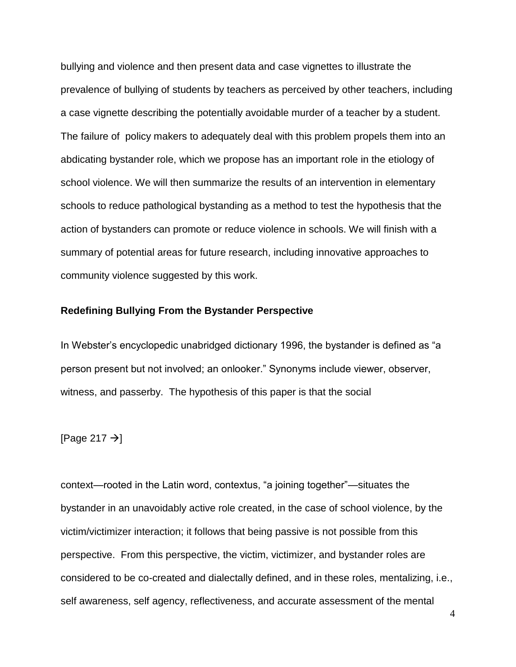bullying and violence and then present data and case vignettes to illustrate the prevalence of bullying of students by teachers as perceived by other teachers, including a case vignette describing the potentially avoidable murder of a teacher by a student. The failure of policy makers to adequately deal with this problem propels them into an abdicating bystander role, which we propose has an important role in the etiology of school violence. We will then summarize the results of an intervention in elementary schools to reduce pathological bystanding as a method to test the hypothesis that the action of bystanders can promote or reduce violence in schools. We will finish with a summary of potential areas for future research, including innovative approaches to community violence suggested by this work.

#### **Redefining Bullying From the Bystander Perspective**

In Webster's encyclopedic unabridged dictionary 1996, the bystander is defined as "a person present but not involved; an onlooker." Synonyms include viewer, observer, witness, and passerby. The hypothesis of this paper is that the social

### [Page 217  $\rightarrow$ ]

context—rooted in the Latin word, contextus, "a joining together"—situates the bystander in an unavoidably active role created, in the case of school violence, by the victim/victimizer interaction; it follows that being passive is not possible from this perspective. From this perspective, the victim, victimizer, and bystander roles are considered to be co-created and dialectally defined, and in these roles, mentalizing, i.e., self awareness, self agency, reflectiveness, and accurate assessment of the mental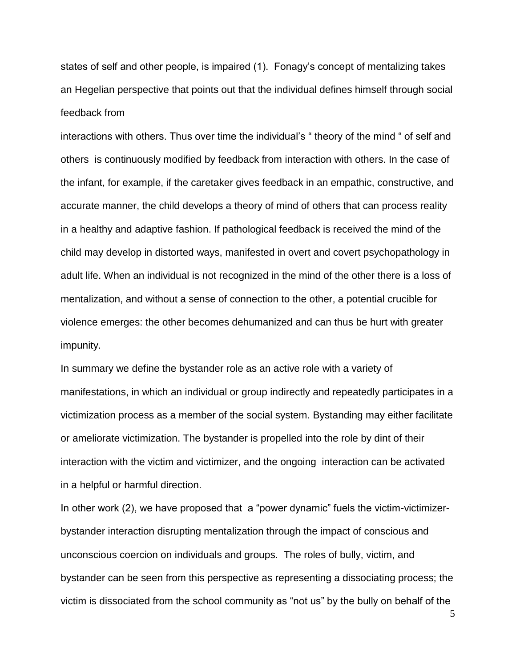states of self and other people, is impaired (1). Fonagy's concept of mentalizing takes an Hegelian perspective that points out that the individual defines himself through social feedback from

interactions with others. Thus over time the individual's " theory of the mind " of self and others is continuously modified by feedback from interaction with others. In the case of the infant, for example, if the caretaker gives feedback in an empathic, constructive, and accurate manner, the child develops a theory of mind of others that can process reality in a healthy and adaptive fashion. If pathological feedback is received the mind of the child may develop in distorted ways, manifested in overt and covert psychopathology in adult life. When an individual is not recognized in the mind of the other there is a loss of mentalization, and without a sense of connection to the other, a potential crucible for violence emerges: the other becomes dehumanized and can thus be hurt with greater impunity.

In summary we define the bystander role as an active role with a variety of manifestations, in which an individual or group indirectly and repeatedly participates in a victimization process as a member of the social system. Bystanding may either facilitate or ameliorate victimization. The bystander is propelled into the role by dint of their interaction with the victim and victimizer, and the ongoing interaction can be activated in a helpful or harmful direction.

In other work (2), we have proposed that a "power dynamic" fuels the victim-victimizerbystander interaction disrupting mentalization through the impact of conscious and unconscious coercion on individuals and groups. The roles of bully, victim, and bystander can be seen from this perspective as representing a dissociating process; the victim is dissociated from the school community as "not us" by the bully on behalf of the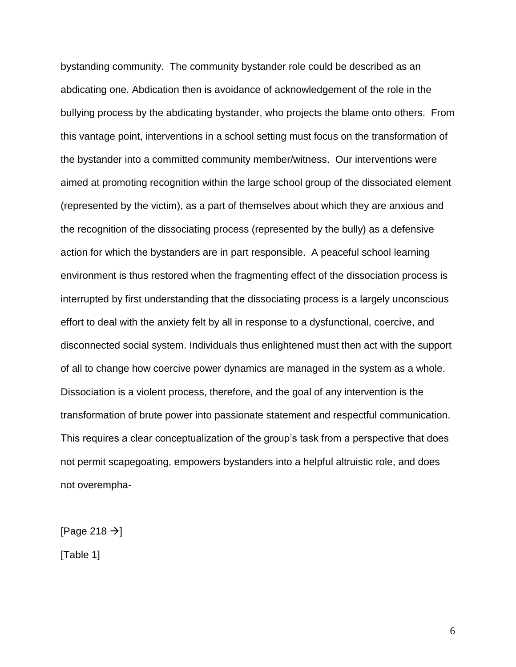bystanding community. The community bystander role could be described as an abdicating one. Abdication then is avoidance of acknowledgement of the role in the bullying process by the abdicating bystander, who projects the blame onto others. From this vantage point, interventions in a school setting must focus on the transformation of the bystander into a committed community member/witness. Our interventions were aimed at promoting recognition within the large school group of the dissociated element (represented by the victim), as a part of themselves about which they are anxious and the recognition of the dissociating process (represented by the bully) as a defensive action for which the bystanders are in part responsible. A peaceful school learning environment is thus restored when the fragmenting effect of the dissociation process is interrupted by first understanding that the dissociating process is a largely unconscious effort to deal with the anxiety felt by all in response to a dysfunctional, coercive, and disconnected social system. Individuals thus enlightened must then act with the support of all to change how coercive power dynamics are managed in the system as a whole. Dissociation is a violent process, therefore, and the goal of any intervention is the transformation of brute power into passionate statement and respectful communication. This requires a clear conceptualization of the group's task from a perspective that does not permit scapegoating, empowers bystanders into a helpful altruistic role, and does not overempha-

[Page 218  $\rightarrow$ ]

[Table 1]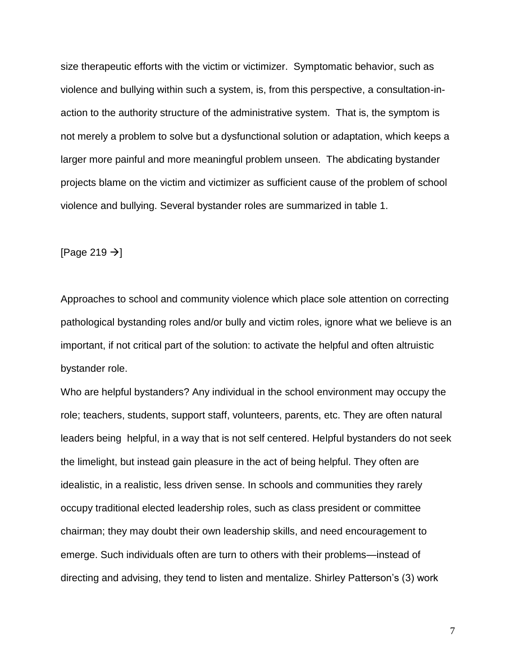size therapeutic efforts with the victim or victimizer. Symptomatic behavior, such as violence and bullying within such a system, is, from this perspective, a consultation-inaction to the authority structure of the administrative system. That is, the symptom is not merely a problem to solve but a dysfunctional solution or adaptation, which keeps a larger more painful and more meaningful problem unseen. The abdicating bystander projects blame on the victim and victimizer as sufficient cause of the problem of school violence and bullying. Several bystander roles are summarized in table 1.

[Page 219  $\rightarrow$ ]

Approaches to school and community violence which place sole attention on correcting pathological bystanding roles and/or bully and victim roles, ignore what we believe is an important, if not critical part of the solution: to activate the helpful and often altruistic bystander role.

Who are helpful bystanders? Any individual in the school environment may occupy the role; teachers, students, support staff, volunteers, parents, etc. They are often natural leaders being helpful, in a way that is not self centered. Helpful bystanders do not seek the limelight, but instead gain pleasure in the act of being helpful. They often are idealistic, in a realistic, less driven sense. In schools and communities they rarely occupy traditional elected leadership roles, such as class president or committee chairman; they may doubt their own leadership skills, and need encouragement to emerge. Such individuals often are turn to others with their problems—instead of directing and advising, they tend to listen and mentalize. Shirley Patterson's (3) work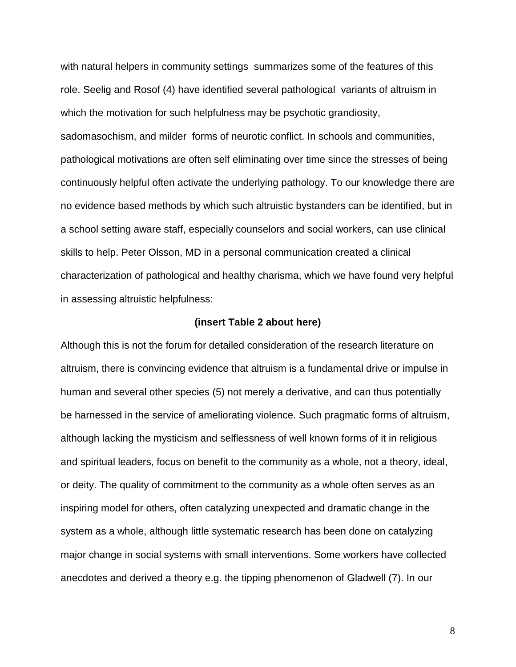with natural helpers in community settings summarizes some of the features of this role. Seelig and Rosof (4) have identified several pathological variants of altruism in which the motivation for such helpfulness may be psychotic grandiosity, sadomasochism, and milder forms of neurotic conflict. In schools and communities, pathological motivations are often self eliminating over time since the stresses of being continuously helpful often activate the underlying pathology. To our knowledge there are no evidence based methods by which such altruistic bystanders can be identified, but in a school setting aware staff, especially counselors and social workers, can use clinical skills to help. Peter Olsson, MD in a personal communication created a clinical characterization of pathological and healthy charisma, which we have found very helpful in assessing altruistic helpfulness:

#### **(insert Table 2 about here)**

Although this is not the forum for detailed consideration of the research literature on altruism, there is convincing evidence that altruism is a fundamental drive or impulse in human and several other species (5) not merely a derivative, and can thus potentially be harnessed in the service of ameliorating violence. Such pragmatic forms of altruism, although lacking the mysticism and selflessness of well known forms of it in religious and spiritual leaders, focus on benefit to the community as a whole, not a theory, ideal, or deity. The quality of commitment to the community as a whole often serves as an inspiring model for others, often catalyzing unexpected and dramatic change in the system as a whole, although little systematic research has been done on catalyzing major change in social systems with small interventions. Some workers have collected anecdotes and derived a theory e.g. the tipping phenomenon of Gladwell (7). In our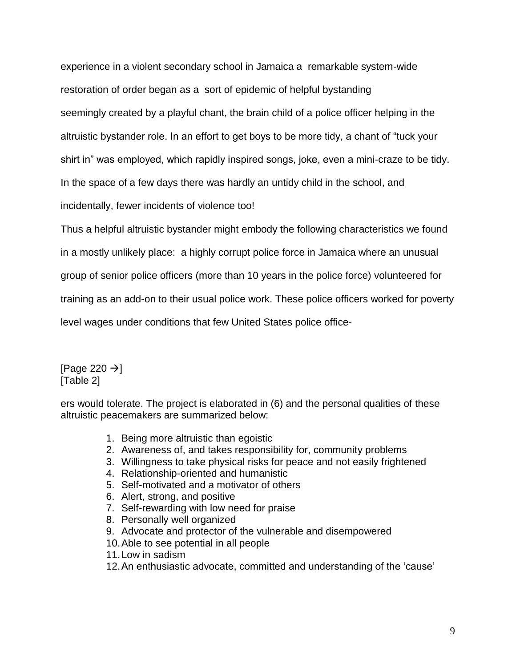experience in a violent secondary school in Jamaica a remarkable system-wide restoration of order began as a sort of epidemic of helpful bystanding seemingly created by a playful chant, the brain child of a police officer helping in the altruistic bystander role. In an effort to get boys to be more tidy, a chant of "tuck your shirt in" was employed, which rapidly inspired songs, joke, even a mini-craze to be tidy. In the space of a few days there was hardly an untidy child in the school, and incidentally, fewer incidents of violence too!

Thus a helpful altruistic bystander might embody the following characteristics we found

in a mostly unlikely place: a highly corrupt police force in Jamaica where an unusual

group of senior police officers (more than 10 years in the police force) volunteered for

training as an add-on to their usual police work. These police officers worked for poverty

level wages under conditions that few United States police office-

[Page 220  $\rightarrow$ ] [Table 2]

ers would tolerate. The project is elaborated in (6) and the personal qualities of these altruistic peacemakers are summarized below:

- 1. Being more altruistic than egoistic
- 2. Awareness of, and takes responsibility for, community problems
- 3. Willingness to take physical risks for peace and not easily frightened
- 4. Relationship-oriented and humanistic
- 5. Self-motivated and a motivator of others
- 6. Alert, strong, and positive
- 7. Self-rewarding with low need for praise
- 8. Personally well organized
- 9. Advocate and protector of the vulnerable and disempowered
- 10.Able to see potential in all people
- 11.Low in sadism

12.An enthusiastic advocate, committed and understanding of the 'cause'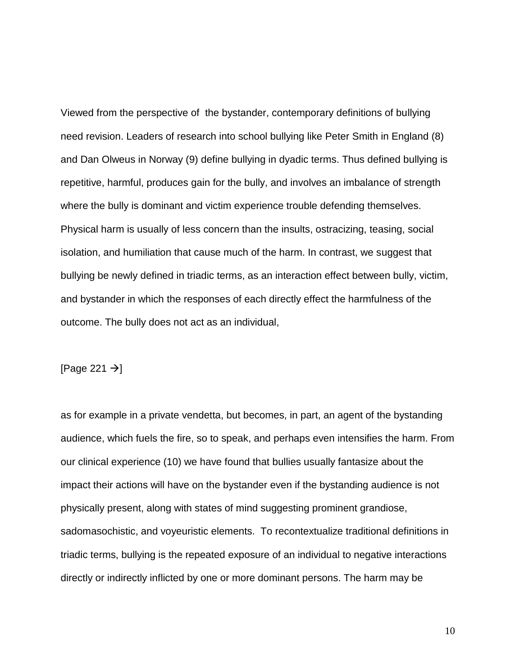Viewed from the perspective of the bystander, contemporary definitions of bullying need revision. Leaders of research into school bullying like Peter Smith in England (8) and Dan Olweus in Norway (9) define bullying in dyadic terms. Thus defined bullying is repetitive, harmful, produces gain for the bully, and involves an imbalance of strength where the bully is dominant and victim experience trouble defending themselves. Physical harm is usually of less concern than the insults, ostracizing, teasing, social isolation, and humiliation that cause much of the harm. In contrast, we suggest that bullying be newly defined in triadic terms, as an interaction effect between bully, victim, and bystander in which the responses of each directly effect the harmfulness of the outcome. The bully does not act as an individual,

[Page 221  $\rightarrow$ ]

as for example in a private vendetta, but becomes, in part, an agent of the bystanding audience, which fuels the fire, so to speak, and perhaps even intensifies the harm. From our clinical experience (10) we have found that bullies usually fantasize about the impact their actions will have on the bystander even if the bystanding audience is not physically present, along with states of mind suggesting prominent grandiose, sadomasochistic, and voyeuristic elements. To recontextualize traditional definitions in triadic terms, bullying is the repeated exposure of an individual to negative interactions directly or indirectly inflicted by one or more dominant persons. The harm may be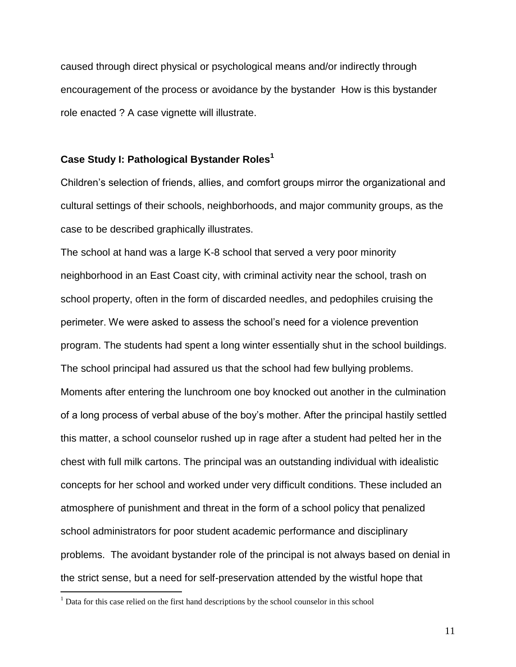caused through direct physical or psychological means and/or indirectly through encouragement of the process or avoidance by the bystander How is this bystander role enacted ? A case vignette will illustrate.

# **Case Study I: Pathological Bystander Roles<sup>1</sup>**

Children's selection of friends, allies, and comfort groups mirror the organizational and cultural settings of their schools, neighborhoods, and major community groups, as the case to be described graphically illustrates.

The school at hand was a large K-8 school that served a very poor minority neighborhood in an East Coast city, with criminal activity near the school, trash on school property, often in the form of discarded needles, and pedophiles cruising the perimeter. We were asked to assess the school's need for a violence prevention program. The students had spent a long winter essentially shut in the school buildings. The school principal had assured us that the school had few bullying problems. Moments after entering the lunchroom one boy knocked out another in the culmination of a long process of verbal abuse of the boy's mother. After the principal hastily settled this matter, a school counselor rushed up in rage after a student had pelted her in the chest with full milk cartons. The principal was an outstanding individual with idealistic concepts for her school and worked under very difficult conditions. These included an atmosphere of punishment and threat in the form of a school policy that penalized school administrators for poor student academic performance and disciplinary problems. The avoidant bystander role of the principal is not always based on denial in the strict sense, but a need for self-preservation attended by the wistful hope that

 $\overline{a}$ 

 $<sup>1</sup>$  Data for this case relied on the first hand descriptions by the school counselor in this school</sup>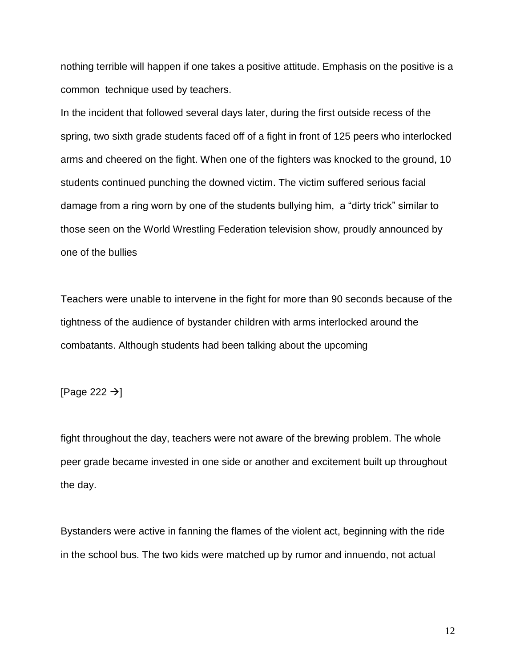nothing terrible will happen if one takes a positive attitude. Emphasis on the positive is a common technique used by teachers.

In the incident that followed several days later, during the first outside recess of the spring, two sixth grade students faced off of a fight in front of 125 peers who interlocked arms and cheered on the fight. When one of the fighters was knocked to the ground, 10 students continued punching the downed victim. The victim suffered serious facial damage from a ring worn by one of the students bullying him, a "dirty trick" similar to those seen on the World Wrestling Federation television show, proudly announced by one of the bullies

Teachers were unable to intervene in the fight for more than 90 seconds because of the tightness of the audience of bystander children with arms interlocked around the combatants. Although students had been talking about the upcoming

[Page 222  $\rightarrow$ ]

fight throughout the day, teachers were not aware of the brewing problem. The whole peer grade became invested in one side or another and excitement built up throughout the day.

Bystanders were active in fanning the flames of the violent act, beginning with the ride in the school bus. The two kids were matched up by rumor and innuendo, not actual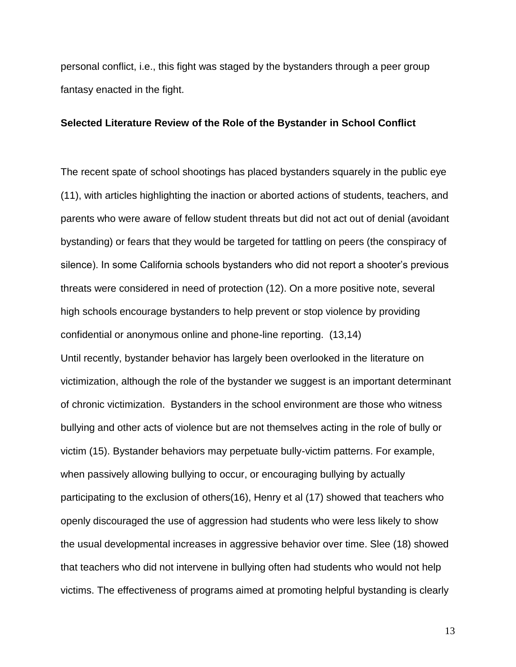personal conflict, i.e., this fight was staged by the bystanders through a peer group fantasy enacted in the fight.

#### **Selected Literature Review of the Role of the Bystander in School Conflict**

The recent spate of school shootings has placed bystanders squarely in the public eye (11), with articles highlighting the inaction or aborted actions of students, teachers, and parents who were aware of fellow student threats but did not act out of denial (avoidant bystanding) or fears that they would be targeted for tattling on peers (the conspiracy of silence). In some California schools bystanders who did not report a shooter's previous threats were considered in need of protection (12). On a more positive note, several high schools encourage bystanders to help prevent or stop violence by providing confidential or anonymous online and phone-line reporting. (13,14) Until recently, bystander behavior has largely been overlooked in the literature on victimization, although the role of the bystander we suggest is an important determinant of chronic victimization. Bystanders in the school environment are those who witness bullying and other acts of violence but are not themselves acting in the role of bully or victim (15). Bystander behaviors may perpetuate bully-victim patterns. For example, when passively allowing bullying to occur, or encouraging bullying by actually participating to the exclusion of others(16), Henry et al (17) showed that teachers who openly discouraged the use of aggression had students who were less likely to show the usual developmental increases in aggressive behavior over time. Slee (18) showed that teachers who did not intervene in bullying often had students who would not help victims. The effectiveness of programs aimed at promoting helpful bystanding is clearly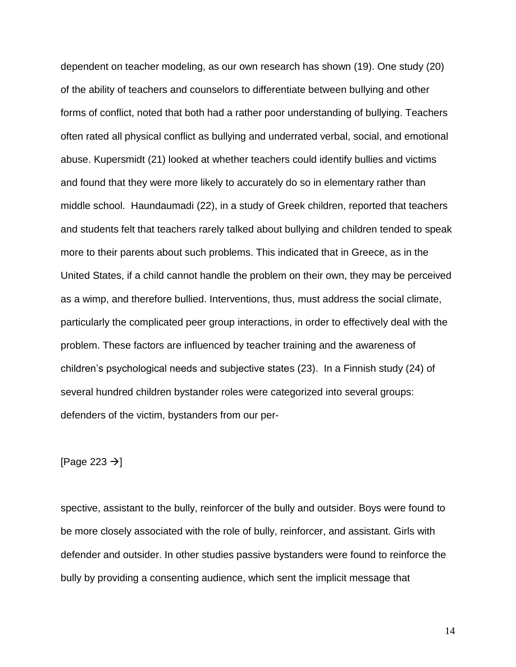dependent on teacher modeling, as our own research has shown (19). One study (20) of the ability of teachers and counselors to differentiate between bullying and other forms of conflict, noted that both had a rather poor understanding of bullying. Teachers often rated all physical conflict as bullying and underrated verbal, social, and emotional abuse. Kupersmidt (21) looked at whether teachers could identify bullies and victims and found that they were more likely to accurately do so in elementary rather than middle school. Haundaumadi (22), in a study of Greek children, reported that teachers and students felt that teachers rarely talked about bullying and children tended to speak more to their parents about such problems. This indicated that in Greece, as in the United States, if a child cannot handle the problem on their own, they may be perceived as a wimp, and therefore bullied. Interventions, thus, must address the social climate, particularly the complicated peer group interactions, in order to effectively deal with the problem. These factors are influenced by teacher training and the awareness of children's psychological needs and subjective states (23). In a Finnish study (24) of several hundred children bystander roles were categorized into several groups: defenders of the victim, bystanders from our per-

[Page 223  $\rightarrow$ ]

spective, assistant to the bully, reinforcer of the bully and outsider. Boys were found to be more closely associated with the role of bully, reinforcer, and assistant. Girls with defender and outsider. In other studies passive bystanders were found to reinforce the bully by providing a consenting audience, which sent the implicit message that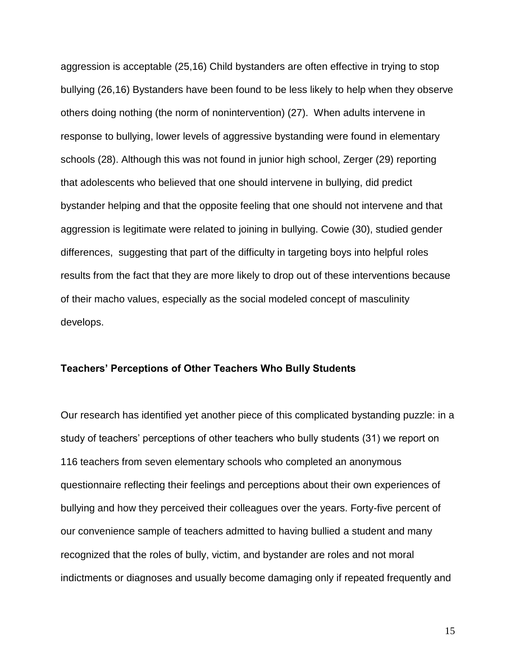aggression is acceptable (25,16) Child bystanders are often effective in trying to stop bullying (26,16) Bystanders have been found to be less likely to help when they observe others doing nothing (the norm of nonintervention) (27). When adults intervene in response to bullying, lower levels of aggressive bystanding were found in elementary schools (28). Although this was not found in junior high school, Zerger (29) reporting that adolescents who believed that one should intervene in bullying, did predict bystander helping and that the opposite feeling that one should not intervene and that aggression is legitimate were related to joining in bullying. Cowie (30), studied gender differences, suggesting that part of the difficulty in targeting boys into helpful roles results from the fact that they are more likely to drop out of these interventions because of their macho values, especially as the social modeled concept of masculinity develops.

#### **Teachers' Perceptions of Other Teachers Who Bully Students**

Our research has identified yet another piece of this complicated bystanding puzzle: in a study of teachers' perceptions of other teachers who bully students (31) we report on 116 teachers from seven elementary schools who completed an anonymous questionnaire reflecting their feelings and perceptions about their own experiences of bullying and how they perceived their colleagues over the years. Forty-five percent of our convenience sample of teachers admitted to having bullied a student and many recognized that the roles of bully, victim, and bystander are roles and not moral indictments or diagnoses and usually become damaging only if repeated frequently and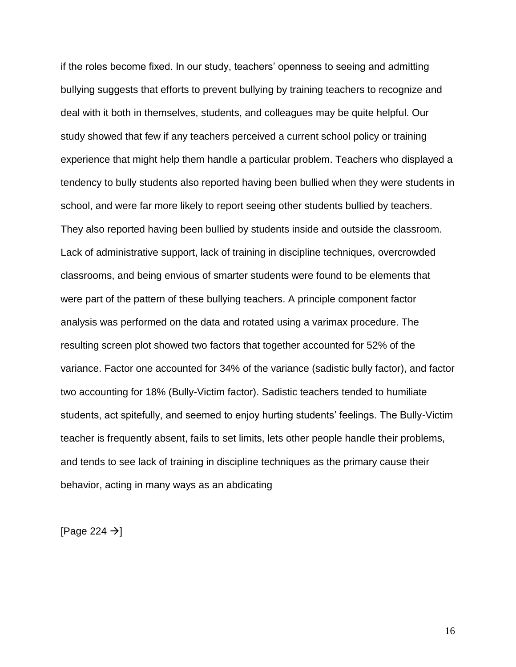if the roles become fixed. In our study, teachers' openness to seeing and admitting bullying suggests that efforts to prevent bullying by training teachers to recognize and deal with it both in themselves, students, and colleagues may be quite helpful. Our study showed that few if any teachers perceived a current school policy or training experience that might help them handle a particular problem. Teachers who displayed a tendency to bully students also reported having been bullied when they were students in school, and were far more likely to report seeing other students bullied by teachers. They also reported having been bullied by students inside and outside the classroom. Lack of administrative support, lack of training in discipline techniques, overcrowded classrooms, and being envious of smarter students were found to be elements that were part of the pattern of these bullying teachers. A principle component factor analysis was performed on the data and rotated using a varimax procedure. The resulting screen plot showed two factors that together accounted for 52% of the variance. Factor one accounted for 34% of the variance (sadistic bully factor), and factor two accounting for 18% (Bully-Victim factor). Sadistic teachers tended to humiliate students, act spitefully, and seemed to enjoy hurting students' feelings. The Bully-Victim teacher is frequently absent, fails to set limits, lets other people handle their problems, and tends to see lack of training in discipline techniques as the primary cause their behavior, acting in many ways as an abdicating

[Page 224  $\rightarrow$ ]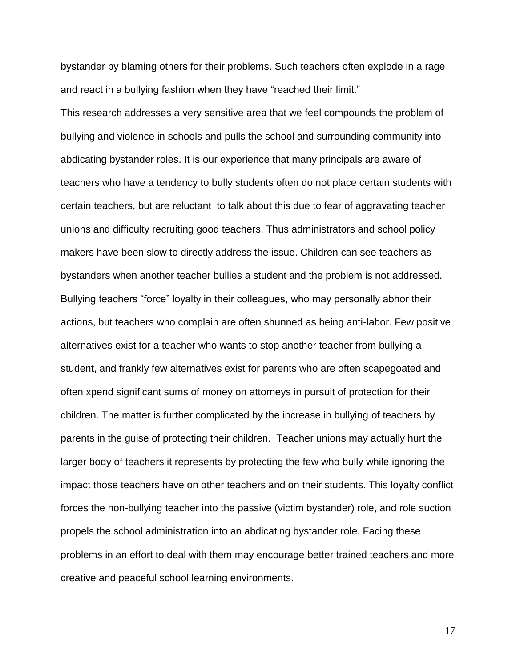bystander by blaming others for their problems. Such teachers often explode in a rage and react in a bullying fashion when they have "reached their limit."

This research addresses a very sensitive area that we feel compounds the problem of bullying and violence in schools and pulls the school and surrounding community into abdicating bystander roles. It is our experience that many principals are aware of teachers who have a tendency to bully students often do not place certain students with certain teachers, but are reluctant to talk about this due to fear of aggravating teacher unions and difficulty recruiting good teachers. Thus administrators and school policy makers have been slow to directly address the issue. Children can see teachers as bystanders when another teacher bullies a student and the problem is not addressed. Bullying teachers "force" loyalty in their colleagues, who may personally abhor their actions, but teachers who complain are often shunned as being anti-labor. Few positive alternatives exist for a teacher who wants to stop another teacher from bullying a student, and frankly few alternatives exist for parents who are often scapegoated and often xpend significant sums of money on attorneys in pursuit of protection for their children. The matter is further complicated by the increase in bullying of teachers by parents in the guise of protecting their children. Teacher unions may actually hurt the larger body of teachers it represents by protecting the few who bully while ignoring the impact those teachers have on other teachers and on their students. This loyalty conflict forces the non-bullying teacher into the passive (victim bystander) role, and role suction propels the school administration into an abdicating bystander role. Facing these problems in an effort to deal with them may encourage better trained teachers and more creative and peaceful school learning environments.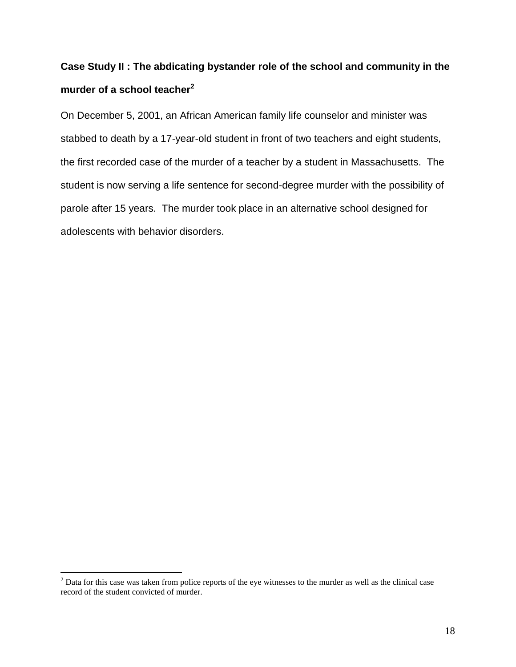# **Case Study II : The abdicating bystander role of the school and community in the murder of a school teacher<sup>2</sup>**

On December 5, 2001, an African American family life counselor and minister was stabbed to death by a 17-year-old student in front of two teachers and eight students, the first recorded case of the murder of a teacher by a student in Massachusetts. The student is now serving a life sentence for second-degree murder with the possibility of parole after 15 years. The murder took place in an alternative school designed for adolescents with behavior disorders.

 $\overline{a}$ 

 $2$  Data for this case was taken from police reports of the eye witnesses to the murder as well as the clinical case record of the student convicted of murder.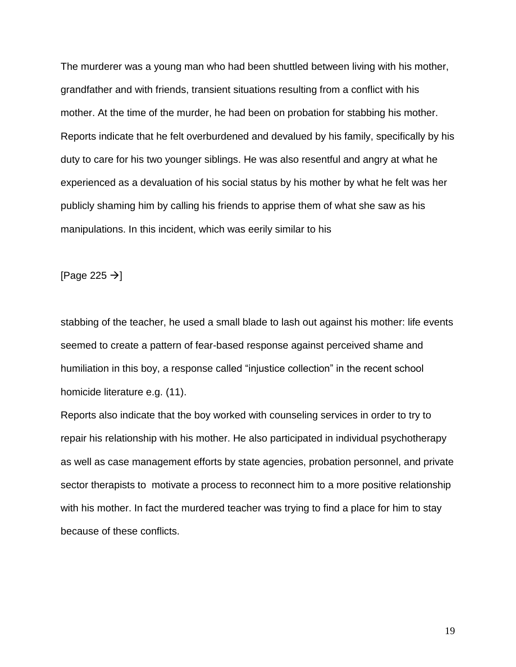The murderer was a young man who had been shuttled between living with his mother, grandfather and with friends, transient situations resulting from a conflict with his mother. At the time of the murder, he had been on probation for stabbing his mother. Reports indicate that he felt overburdened and devalued by his family, specifically by his duty to care for his two younger siblings. He was also resentful and angry at what he experienced as a devaluation of his social status by his mother by what he felt was her publicly shaming him by calling his friends to apprise them of what she saw as his manipulations. In this incident, which was eerily similar to his

[Page 225  $\rightarrow$ ]

stabbing of the teacher, he used a small blade to lash out against his mother: life events seemed to create a pattern of fear-based response against perceived shame and humiliation in this boy, a response called "injustice collection" in the recent school homicide literature e.g. (11).

Reports also indicate that the boy worked with counseling services in order to try to repair his relationship with his mother. He also participated in individual psychotherapy as well as case management efforts by state agencies, probation personnel, and private sector therapists to motivate a process to reconnect him to a more positive relationship with his mother. In fact the murdered teacher was trying to find a place for him to stay because of these conflicts.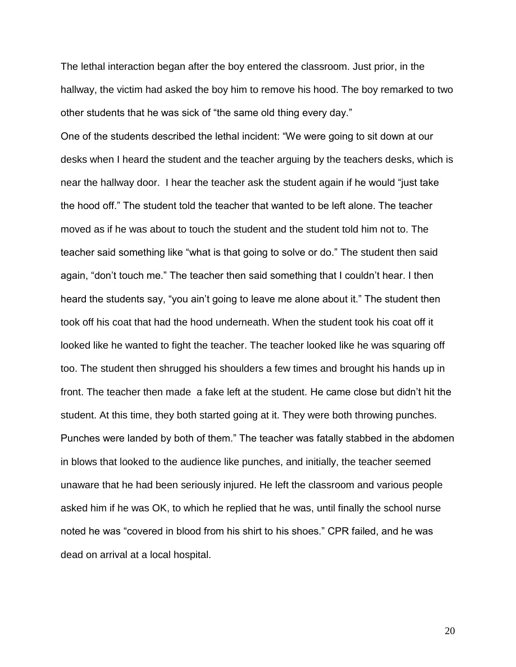The lethal interaction began after the boy entered the classroom. Just prior, in the hallway, the victim had asked the boy him to remove his hood. The boy remarked to two other students that he was sick of "the same old thing every day."

One of the students described the lethal incident: "We were going to sit down at our desks when I heard the student and the teacher arguing by the teachers desks, which is near the hallway door. I hear the teacher ask the student again if he would "just take the hood off." The student told the teacher that wanted to be left alone. The teacher moved as if he was about to touch the student and the student told him not to. The teacher said something like "what is that going to solve or do." The student then said again, "don't touch me." The teacher then said something that I couldn't hear. I then heard the students say, "you ain't going to leave me alone about it." The student then took off his coat that had the hood underneath. When the student took his coat off it looked like he wanted to fight the teacher. The teacher looked like he was squaring off too. The student then shrugged his shoulders a few times and brought his hands up in front. The teacher then made a fake left at the student. He came close but didn't hit the student. At this time, they both started going at it. They were both throwing punches. Punches were landed by both of them." The teacher was fatally stabbed in the abdomen in blows that looked to the audience like punches, and initially, the teacher seemed unaware that he had been seriously injured. He left the classroom and various people asked him if he was OK, to which he replied that he was, until finally the school nurse noted he was "covered in blood from his shirt to his shoes." CPR failed, and he was dead on arrival at a local hospital.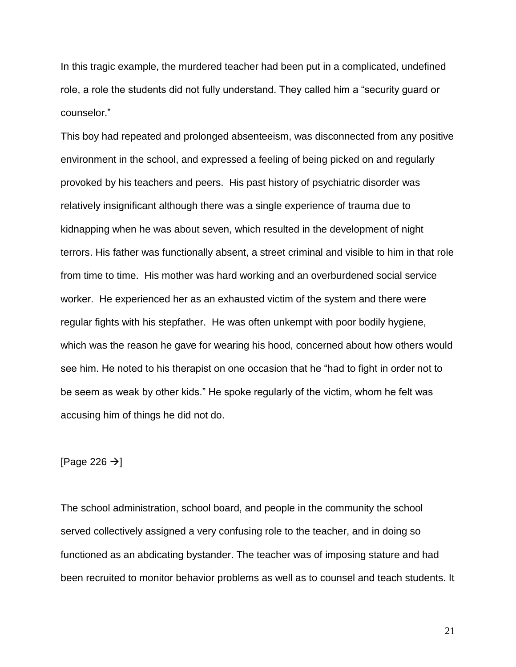In this tragic example, the murdered teacher had been put in a complicated, undefined role, a role the students did not fully understand. They called him a "security guard or counselor."

This boy had repeated and prolonged absenteeism, was disconnected from any positive environment in the school, and expressed a feeling of being picked on and regularly provoked by his teachers and peers. His past history of psychiatric disorder was relatively insignificant although there was a single experience of trauma due to kidnapping when he was about seven, which resulted in the development of night terrors. His father was functionally absent, a street criminal and visible to him in that role from time to time. His mother was hard working and an overburdened social service worker. He experienced her as an exhausted victim of the system and there were regular fights with his stepfather. He was often unkempt with poor bodily hygiene, which was the reason he gave for wearing his hood, concerned about how others would see him. He noted to his therapist on one occasion that he "had to fight in order not to be seem as weak by other kids." He spoke regularly of the victim, whom he felt was accusing him of things he did not do.

### [Page 226  $\rightarrow$ ]

The school administration, school board, and people in the community the school served collectively assigned a very confusing role to the teacher, and in doing so functioned as an abdicating bystander. The teacher was of imposing stature and had been recruited to monitor behavior problems as well as to counsel and teach students. It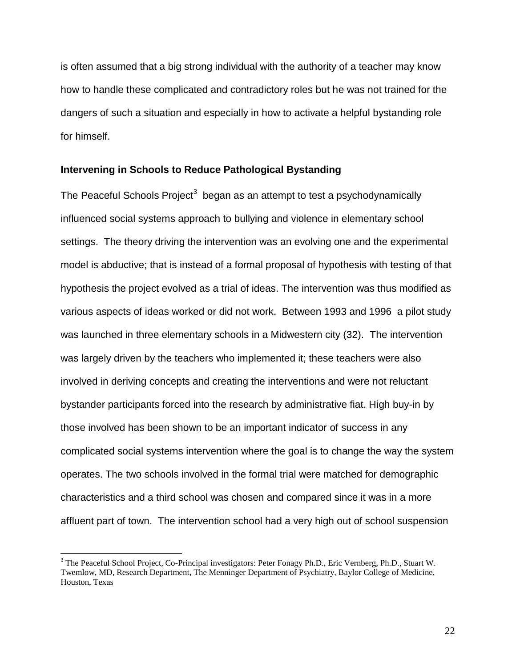is often assumed that a big strong individual with the authority of a teacher may know how to handle these complicated and contradictory roles but he was not trained for the dangers of such a situation and especially in how to activate a helpful bystanding role for himself.

#### **Intervening in Schools to Reduce Pathological Bystanding**

The Peaceful Schools Project $^3$  began as an attempt to test a psychodynamically influenced social systems approach to bullying and violence in elementary school settings. The theory driving the intervention was an evolving one and the experimental model is abductive; that is instead of a formal proposal of hypothesis with testing of that hypothesis the project evolved as a trial of ideas. The intervention was thus modified as various aspects of ideas worked or did not work. Between 1993 and 1996 a pilot study was launched in three elementary schools in a Midwestern city (32). The intervention was largely driven by the teachers who implemented it; these teachers were also involved in deriving concepts and creating the interventions and were not reluctant bystander participants forced into the research by administrative fiat. High buy-in by those involved has been shown to be an important indicator of success in any complicated social systems intervention where the goal is to change the way the system operates. The two schools involved in the formal trial were matched for demographic characteristics and a third school was chosen and compared since it was in a more affluent part of town. The intervention school had a very high out of school suspension

 $\overline{a}$ 

<sup>&</sup>lt;sup>3</sup> The Peaceful School Project, Co-Principal investigators: Peter Fonagy Ph.D., Eric Vernberg, Ph.D., Stuart W. Twemlow, MD, Research Department, The Menninger Department of Psychiatry, Baylor College of Medicine, Houston, Texas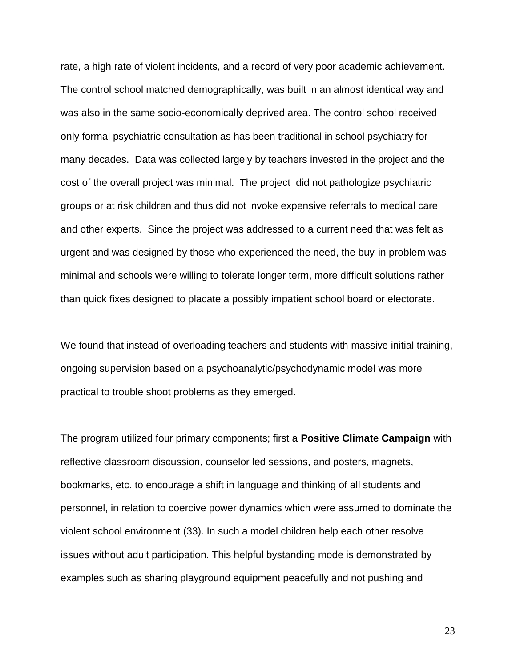rate, a high rate of violent incidents, and a record of very poor academic achievement. The control school matched demographically, was built in an almost identical way and was also in the same socio-economically deprived area. The control school received only formal psychiatric consultation as has been traditional in school psychiatry for many decades. Data was collected largely by teachers invested in the project and the cost of the overall project was minimal. The project did not pathologize psychiatric groups or at risk children and thus did not invoke expensive referrals to medical care and other experts. Since the project was addressed to a current need that was felt as urgent and was designed by those who experienced the need, the buy-in problem was minimal and schools were willing to tolerate longer term, more difficult solutions rather than quick fixes designed to placate a possibly impatient school board or electorate.

We found that instead of overloading teachers and students with massive initial training, ongoing supervision based on a psychoanalytic/psychodynamic model was more practical to trouble shoot problems as they emerged.

The program utilized four primary components; first a **Positive Climate Campaign** with reflective classroom discussion, counselor led sessions, and posters, magnets, bookmarks, etc. to encourage a shift in language and thinking of all students and personnel, in relation to coercive power dynamics which were assumed to dominate the violent school environment (33). In such a model children help each other resolve issues without adult participation. This helpful bystanding mode is demonstrated by examples such as sharing playground equipment peacefully and not pushing and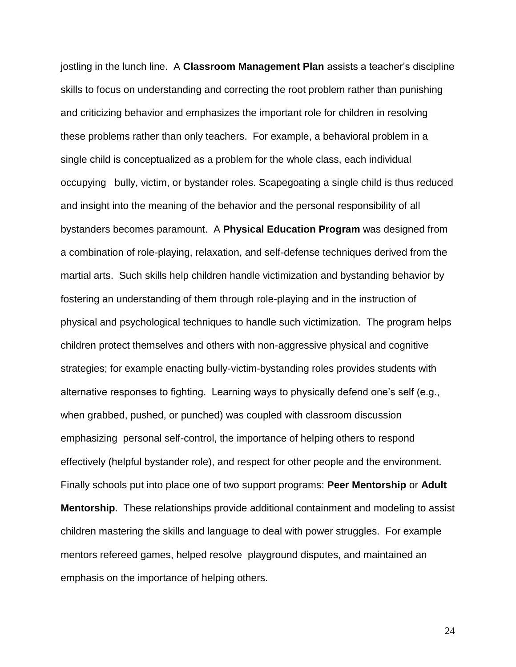jostling in the lunch line. A **Classroom Management Plan** assists a teacher's discipline skills to focus on understanding and correcting the root problem rather than punishing and criticizing behavior and emphasizes the important role for children in resolving these problems rather than only teachers. For example, a behavioral problem in a single child is conceptualized as a problem for the whole class, each individual occupying bully, victim, or bystander roles. Scapegoating a single child is thus reduced and insight into the meaning of the behavior and the personal responsibility of all bystanders becomes paramount. A **Physical Education Program** was designed from a combination of role-playing, relaxation, and self-defense techniques derived from the martial arts. Such skills help children handle victimization and bystanding behavior by fostering an understanding of them through role-playing and in the instruction of physical and psychological techniques to handle such victimization. The program helps children protect themselves and others with non-aggressive physical and cognitive strategies; for example enacting bully-victim-bystanding roles provides students with alternative responses to fighting. Learning ways to physically defend one's self (e.g., when grabbed, pushed, or punched) was coupled with classroom discussion emphasizing personal self-control, the importance of helping others to respond effectively (helpful bystander role), and respect for other people and the environment. Finally schools put into place one of two support programs: **Peer Mentorship** or **Adult Mentorship**. These relationships provide additional containment and modeling to assist children mastering the skills and language to deal with power struggles. For example mentors refereed games, helped resolve playground disputes, and maintained an emphasis on the importance of helping others.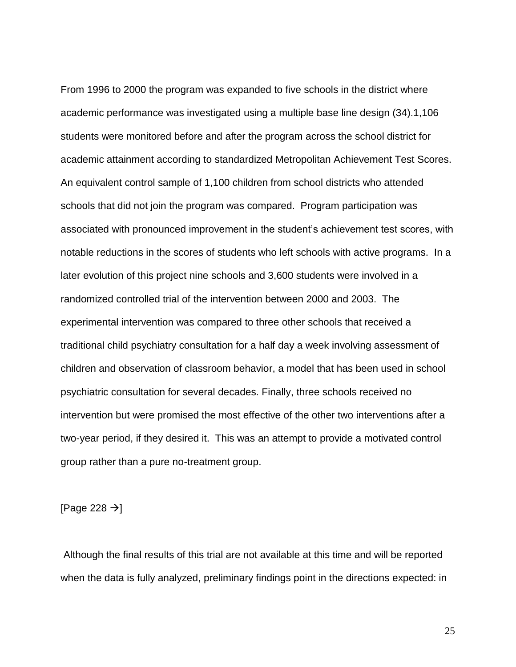From 1996 to 2000 the program was expanded to five schools in the district where academic performance was investigated using a multiple base line design (34).1,106 students were monitored before and after the program across the school district for academic attainment according to standardized Metropolitan Achievement Test Scores. An equivalent control sample of 1,100 children from school districts who attended schools that did not join the program was compared. Program participation was associated with pronounced improvement in the student's achievement test scores, with notable reductions in the scores of students who left schools with active programs. In a later evolution of this project nine schools and 3,600 students were involved in a randomized controlled trial of the intervention between 2000 and 2003. The experimental intervention was compared to three other schools that received a traditional child psychiatry consultation for a half day a week involving assessment of children and observation of classroom behavior, a model that has been used in school psychiatric consultation for several decades. Finally, three schools received no intervention but were promised the most effective of the other two interventions after a two-year period, if they desired it. This was an attempt to provide a motivated control group rather than a pure no-treatment group.

[Page 228  $\rightarrow$ ]

Although the final results of this trial are not available at this time and will be reported when the data is fully analyzed, preliminary findings point in the directions expected: in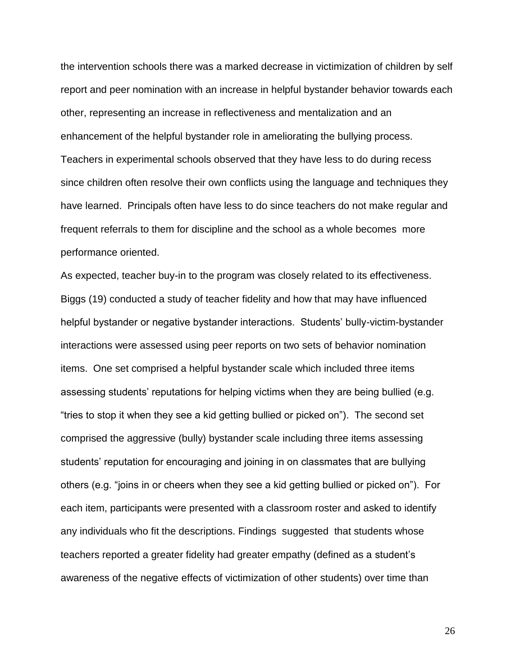the intervention schools there was a marked decrease in victimization of children by self report and peer nomination with an increase in helpful bystander behavior towards each other, representing an increase in reflectiveness and mentalization and an enhancement of the helpful bystander role in ameliorating the bullying process. Teachers in experimental schools observed that they have less to do during recess since children often resolve their own conflicts using the language and techniques they have learned. Principals often have less to do since teachers do not make regular and frequent referrals to them for discipline and the school as a whole becomes more performance oriented.

As expected, teacher buy-in to the program was closely related to its effectiveness. Biggs (19) conducted a study of teacher fidelity and how that may have influenced helpful bystander or negative bystander interactions. Students' bully-victim-bystander interactions were assessed using peer reports on two sets of behavior nomination items. One set comprised a helpful bystander scale which included three items assessing students' reputations for helping victims when they are being bullied (e.g. "tries to stop it when they see a kid getting bullied or picked on"). The second set comprised the aggressive (bully) bystander scale including three items assessing students' reputation for encouraging and joining in on classmates that are bullying others (e.g. "joins in or cheers when they see a kid getting bullied or picked on"). For each item, participants were presented with a classroom roster and asked to identify any individuals who fit the descriptions. Findings suggested that students whose teachers reported a greater fidelity had greater empathy (defined as a student's awareness of the negative effects of victimization of other students) over time than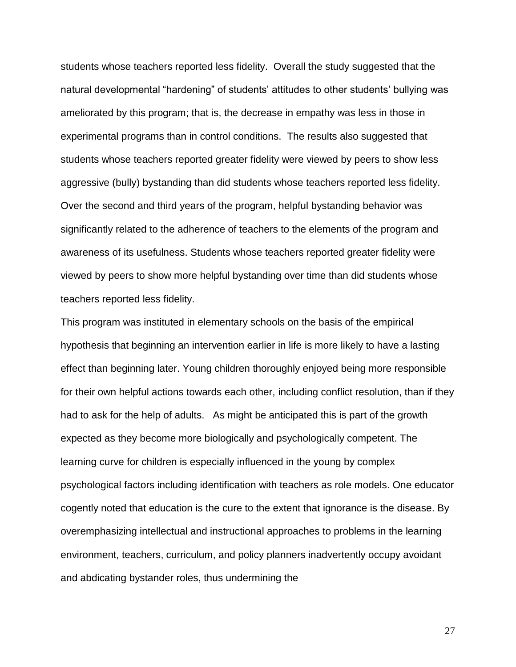students whose teachers reported less fidelity. Overall the study suggested that the natural developmental "hardening" of students' attitudes to other students' bullying was ameliorated by this program; that is, the decrease in empathy was less in those in experimental programs than in control conditions. The results also suggested that students whose teachers reported greater fidelity were viewed by peers to show less aggressive (bully) bystanding than did students whose teachers reported less fidelity. Over the second and third years of the program, helpful bystanding behavior was significantly related to the adherence of teachers to the elements of the program and awareness of its usefulness. Students whose teachers reported greater fidelity were viewed by peers to show more helpful bystanding over time than did students whose teachers reported less fidelity.

This program was instituted in elementary schools on the basis of the empirical hypothesis that beginning an intervention earlier in life is more likely to have a lasting effect than beginning later. Young children thoroughly enjoyed being more responsible for their own helpful actions towards each other, including conflict resolution, than if they had to ask for the help of adults. As might be anticipated this is part of the growth expected as they become more biologically and psychologically competent. The learning curve for children is especially influenced in the young by complex psychological factors including identification with teachers as role models. One educator cogently noted that education is the cure to the extent that ignorance is the disease. By overemphasizing intellectual and instructional approaches to problems in the learning environment, teachers, curriculum, and policy planners inadvertently occupy avoidant and abdicating bystander roles, thus undermining the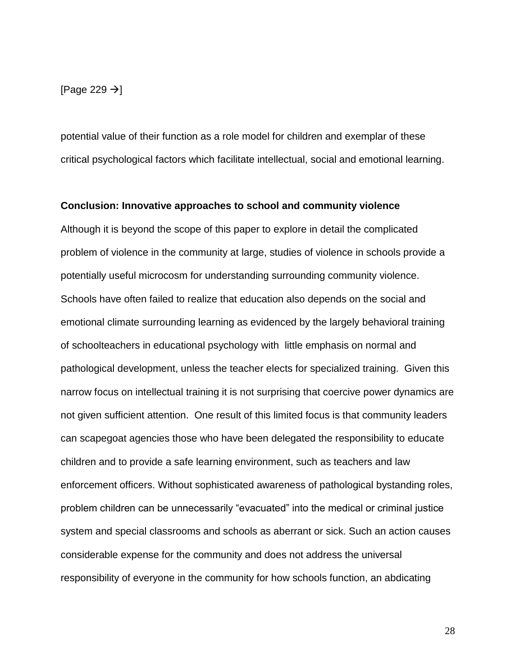[Page 229  $\rightarrow$ ]

potential value of their function as a role model for children and exemplar of these critical psychological factors which facilitate intellectual, social and emotional learning.

#### **Conclusion: Innovative approaches to school and community violence**

Although it is beyond the scope of this paper to explore in detail the complicated problem of violence in the community at large, studies of violence in schools provide a potentially useful microcosm for understanding surrounding community violence. Schools have often failed to realize that education also depends on the social and emotional climate surrounding learning as evidenced by the largely behavioral training of schoolteachers in educational psychology with little emphasis on normal and pathological development, unless the teacher elects for specialized training. Given this narrow focus on intellectual training it is not surprising that coercive power dynamics are not given sufficient attention. One result of this limited focus is that community leaders can scapegoat agencies those who have been delegated the responsibility to educate children and to provide a safe learning environment, such as teachers and law enforcement officers. Without sophisticated awareness of pathological bystanding roles, problem children can be unnecessarily "evacuated" into the medical or criminal justice system and special classrooms and schools as aberrant or sick. Such an action causes considerable expense for the community and does not address the universal responsibility of everyone in the community for how schools function, an abdicating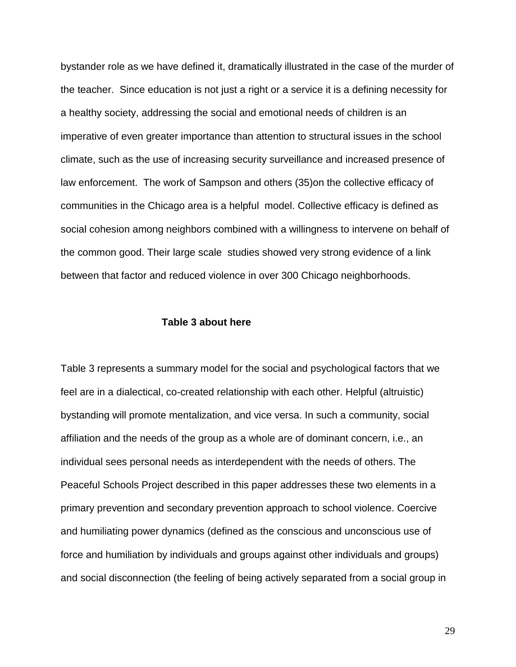bystander role as we have defined it, dramatically illustrated in the case of the murder of the teacher. Since education is not just a right or a service it is a defining necessity for a healthy society, addressing the social and emotional needs of children is an imperative of even greater importance than attention to structural issues in the school climate, such as the use of increasing security surveillance and increased presence of law enforcement. The work of Sampson and others (35)on the collective efficacy of communities in the Chicago area is a helpful model. Collective efficacy is defined as social cohesion among neighbors combined with a willingness to intervene on behalf of the common good. Their large scale studies showed very strong evidence of a link between that factor and reduced violence in over 300 Chicago neighborhoods.

#### **Table 3 about here**

Table 3 represents a summary model for the social and psychological factors that we feel are in a dialectical, co-created relationship with each other. Helpful (altruistic) bystanding will promote mentalization, and vice versa. In such a community, social affiliation and the needs of the group as a whole are of dominant concern, i.e., an individual sees personal needs as interdependent with the needs of others. The Peaceful Schools Project described in this paper addresses these two elements in a primary prevention and secondary prevention approach to school violence. Coercive and humiliating power dynamics (defined as the conscious and unconscious use of force and humiliation by individuals and groups against other individuals and groups) and social disconnection (the feeling of being actively separated from a social group in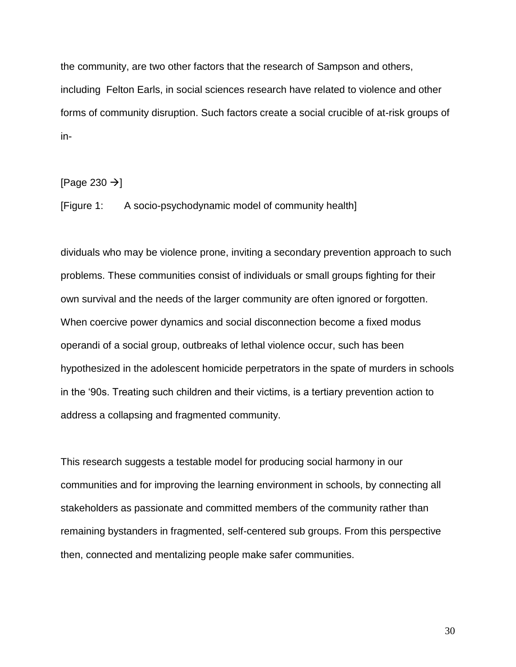the community, are two other factors that the research of Sampson and others, including Felton Earls, in social sciences research have related to violence and other forms of community disruption. Such factors create a social crucible of at-risk groups of in-

[Page 230  $\rightarrow$ ]

[Figure 1: A socio-psychodynamic model of community health]

dividuals who may be violence prone, inviting a secondary prevention approach to such problems. These communities consist of individuals or small groups fighting for their own survival and the needs of the larger community are often ignored or forgotten. When coercive power dynamics and social disconnection become a fixed modus operandi of a social group, outbreaks of lethal violence occur, such has been hypothesized in the adolescent homicide perpetrators in the spate of murders in schools in the '90s. Treating such children and their victims, is a tertiary prevention action to address a collapsing and fragmented community.

This research suggests a testable model for producing social harmony in our communities and for improving the learning environment in schools, by connecting all stakeholders as passionate and committed members of the community rather than remaining bystanders in fragmented, self-centered sub groups. From this perspective then, connected and mentalizing people make safer communities.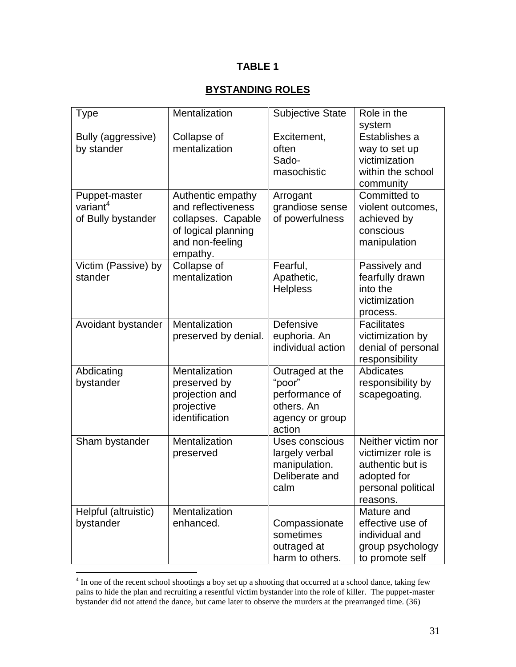# **TABLE 1**

# **BYSTANDING ROLES**

| <b>Type</b>          | Mentalization        | <b>Subjective State</b> | Role in the        |
|----------------------|----------------------|-------------------------|--------------------|
|                      |                      |                         | system             |
| Bully (aggressive)   | Collapse of          | Excitement,             | Establishes a      |
| by stander           | mentalization        | often                   | way to set up      |
|                      |                      | Sado-                   | victimization      |
|                      |                      | masochistic             | within the school  |
|                      |                      |                         | community          |
| Puppet-master        | Authentic empathy    | Arrogant                | Committed to       |
| variant <sup>4</sup> | and reflectiveness   | grandiose sense         | violent outcomes,  |
| of Bully bystander   | collapses. Capable   | of powerfulness         | achieved by        |
|                      | of logical planning  |                         | conscious          |
|                      | and non-feeling      |                         | manipulation       |
|                      | empathy.             |                         |                    |
| Victim (Passive) by  | Collapse of          | Fearful,                | Passively and      |
| stander              | mentalization        | Apathetic,              | fearfully drawn    |
|                      |                      | <b>Helpless</b>         | into the           |
|                      |                      |                         | victimization      |
|                      |                      |                         | process.           |
| Avoidant bystander   | Mentalization        | <b>Defensive</b>        | <b>Facilitates</b> |
|                      | preserved by denial. | euphoria. An            | victimization by   |
|                      |                      | individual action       | denial of personal |
|                      |                      |                         | responsibility     |
| Abdicating           | Mentalization        | Outraged at the         | Abdicates          |
| bystander            | preserved by         | "poor"                  | responsibility by  |
|                      | projection and       | performance of          | scapegoating.      |
|                      | projective           | others. An              |                    |
|                      | identification       | agency or group         |                    |
|                      |                      | action                  |                    |
| Sham bystander       | Mentalization        | Uses conscious          | Neither victim nor |
|                      | preserved            | largely verbal          | victimizer role is |
|                      |                      | manipulation.           | authentic but is   |
|                      |                      | Deliberate and          | adopted for        |
|                      |                      | calm                    | personal political |
|                      |                      |                         | reasons.           |
| Helpful (altruistic) | Mentalization        |                         | Mature and         |
| bystander            | enhanced.            | Compassionate           | effective use of   |
|                      |                      | sometimes               | individual and     |
|                      |                      | outraged at             | group psychology   |
|                      |                      | harm to others.         | to promote self    |

<sup>&</sup>lt;sup>4</sup> In one of the recent school shootings a boy set up a shooting that occurred at a school dance, taking few pains to hide the plan and recruiting a resentful victim bystander into the role of killer. The puppet-master bystander did not attend the dance, but came later to observe the murders at the prearranged time. (36)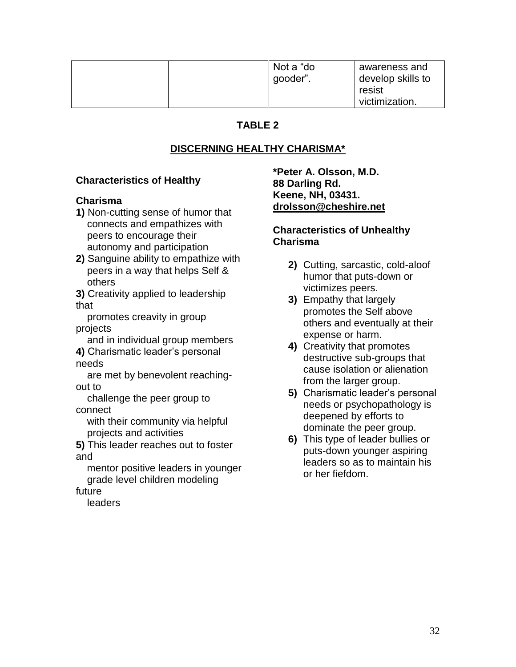|  | Not a "do<br>gooder". | awareness and<br>develop skills to<br>resist<br>victimization. |
|--|-----------------------|----------------------------------------------------------------|
|--|-----------------------|----------------------------------------------------------------|

# **TABLE 2**

# **DISCERNING HEALTHY CHARISMA\***

# **Characteristics of Healthy**

### **Charisma**

- **1)** Non-cutting sense of humor that connects and empathizes with peers to encourage their autonomy and participation
- **2)** Sanguine ability to empathize with peers in a way that helps Self & others

**3)** Creativity applied to leadership that

 promotes creavity in group projects

and in individual group members

**4)** Charismatic leader's personal needs

 are met by benevolent reachingout to

 challenge the peer group to connect

 with their community via helpful projects and activities

**5)** This leader reaches out to foster and

 mentor positive leaders in younger grade level children modeling

future

leaders

**\*Peter A. Olsson, M.D. 88 Darling Rd. Keene, NH, 03431. [drolsson@cheshire.net](mailto:drolsson@cheshire.net)**

### **Characteristics of Unhealthy Charisma**

- **2)** Cutting, sarcastic, cold-aloof humor that puts-down or victimizes peers.
- **3)** Empathy that largely promotes the Self above others and eventually at their expense or harm.
- **4)** Creativity that promotes destructive sub-groups that cause isolation or alienation from the larger group.
- **5)** Charismatic leader's personal needs or psychopathology is deepened by efforts to dominate the peer group.
- **6)** This type of leader bullies or puts-down younger aspiring leaders so as to maintain his or her fiefdom.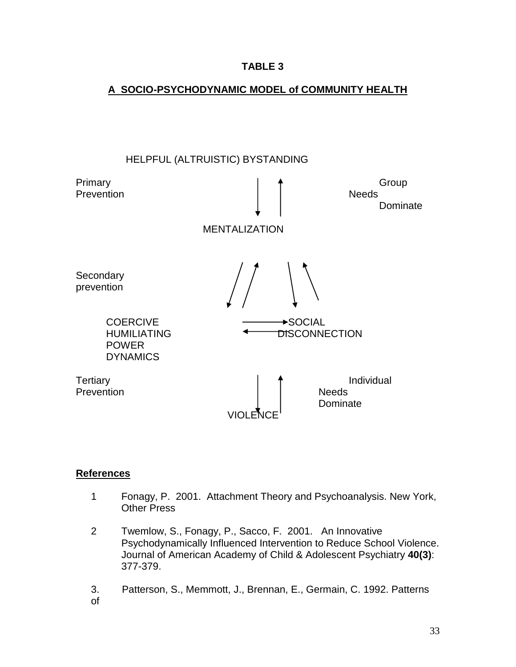# **TABLE 3**

# **A SOCIO-PSYCHODYNAMIC MODEL of COMMUNITY HEALTH**



# **References**

- 1 Fonagy, P. 2001. Attachment Theory and Psychoanalysis. New York, Other Press
- 2 Twemlow, S., Fonagy, P., Sacco, F. 2001. An Innovative Psychodynamically Influenced Intervention to Reduce School Violence. Journal of American Academy of Child & Adolescent Psychiatry **40(3)**: 377-379.
- 3. Patterson, S., Memmott, J., Brennan, E., Germain, C. 1992. Patterns of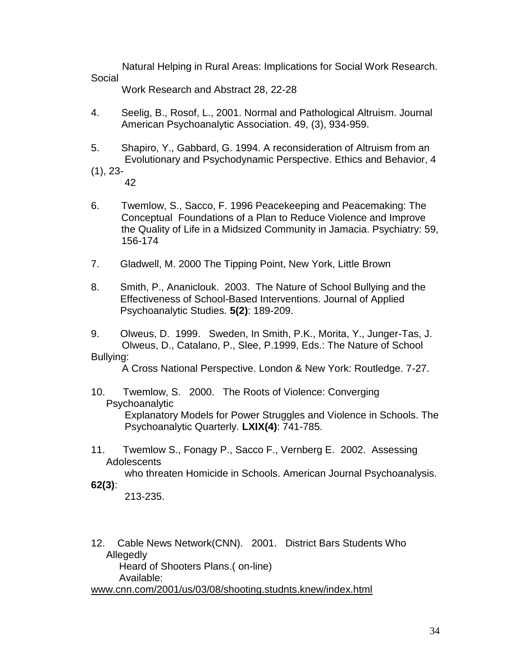Natural Helping in Rural Areas: Implications for Social Work Research. Social

Work Research and Abstract 28, 22-28

- 4. Seelig, B., Rosof, L., 2001. Normal and Pathological Altruism. Journal American Psychoanalytic Association. 49, (3), 934-959.
- 5. Shapiro, Y., Gabbard, G. 1994. A reconsideration of Altruism from an Evolutionary and Psychodynamic Perspective. Ethics and Behavior, 4

(1), 23- 42

- 6. Twemlow, S., Sacco, F. 1996 Peacekeeping and Peacemaking: The Conceptual Foundations of a Plan to Reduce Violence and Improve the Quality of Life in a Midsized Community in Jamacia. Psychiatry: 59, 156-174
- 7. Gladwell, M. 2000 The Tipping Point, New York, Little Brown
- 8. Smith, P., Ananiclouk. 2003. The Nature of School Bullying and the Effectiveness of School-Based Interventions. Journal of Applied Psychoanalytic Studies. **5(2)**: 189-209.
- 9. Olweus, D. 1999. Sweden, In Smith, P.K., Morita, Y., Junger-Tas, J. Olweus, D., Catalano, P., Slee, P.1999, Eds.: The Nature of School Bullying:

A Cross National Perspective. London & New York: Routledge. 7-27.

- 10. Twemlow, S. 2000. The Roots of Violence: Converging **Psychoanalytic**  Explanatory Models for Power Struggles and Violence in Schools. The Psychoanalytic Quarterly. **LXIX(4)**: 741-785.
- 11. Twemlow S., Fonagy P., Sacco F., Vernberg E. 2002. Assessing Adolescents

who threaten Homicide in Schools. American Journal Psychoanalysis.

**62(3)**:

213-235.

12. Cable News Network(CNN). 2001. District Bars Students Who Allegedly

Heard of Shooters Plans.( on-line)

Available:

[www.cnn.com/2001/us/03/08/shooting.studnts.knew/index.html](http://www.cnn.com/2001/us/03/08/shooting.studnts.knew/index.html)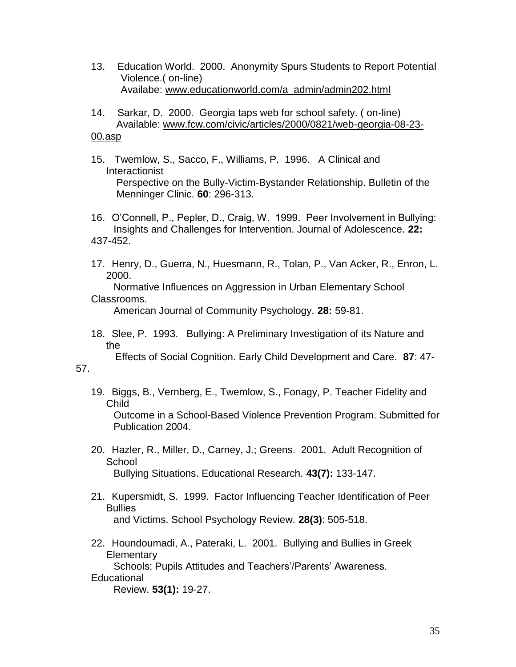- 13. Education World. 2000. Anonymity Spurs Students to Report Potential Violence.( on-line) Availabe: [www.educationworld.com/a\\_admin/admin202.html](http://www.educationworld.com/a_admin/admin202.html)
- 14. Sarkar, D. 2000. Georgia taps web for school safety. ( on-line) Available: [www.fcw.com/civic/articles/2000/0821/web-georgia-08-23-](http://www.fcw.com/civic/articles/2000/0821/web-georgia-08-23-00.asp) [00.asp](http://www.fcw.com/civic/articles/2000/0821/web-georgia-08-23-00.asp)
- 15. Twemlow, S., Sacco, F., Williams, P. 1996. A Clinical and Interactionist Perspective on the Bully-Victim-Bystander Relationship. Bulletin of the Menninger Clinic. **60**: 296-313.

16. O'Connell, P., Pepler, D., Craig, W. 1999. Peer Involvement in Bullying: Insights and Challenges for Intervention. Journal of Adolescence. **22:** 437-452.

17. Henry, D., Guerra, N., Huesmann, R., Tolan, P., Van Acker, R., Enron, L. 2000.

 Normative Influences on Aggression in Urban Elementary School Classrooms.

American Journal of Community Psychology. **28:** 59-81.

18. Slee, P. 1993. Bullying: A Preliminary Investigation of its Nature and the

 Effects of Social Cognition. Early Child Development and Care. **87**: 47- 57.

- 19. Biggs, B., Vernberg, E., Twemlow, S., Fonagy, P. Teacher Fidelity and Child Outcome in a School-Based Violence Prevention Program. Submitted for Publication 2004.
- 20. Hazler, R., Miller, D., Carney, J.; Greens. 2001. Adult Recognition of **School** Bullying Situations. Educational Research. **43(7):** 133-147.
- 21. Kupersmidt, S. 1999. Factor Influencing Teacher Identification of Peer Bullies and Victims. School Psychology Review. **28(3)**: 505-518.
- 22. Houndoumadi, A., Pateraki, L. 2001. Bullying and Bullies in Greek **Elementary**

 Schools: Pupils Attitudes and Teachers'/Parents' Awareness. **Educational** 

Review. **53(1):** 19-27.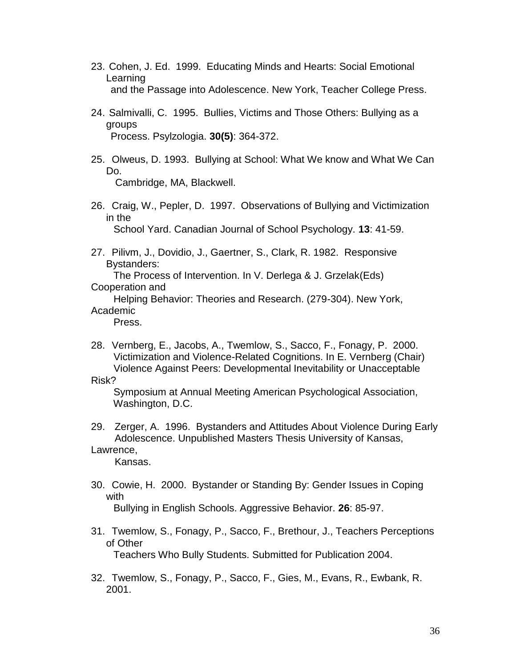- 23. Cohen, J. Ed. 1999. Educating Minds and Hearts: Social Emotional Learning and the Passage into Adolescence. New York, Teacher College Press.
- 24. Salmivalli, C. 1995. Bullies, Victims and Those Others: Bullying as a groups Process. Psylzologia. **30(5)**: 364-372.
- 25. Olweus, D. 1993. Bullying at School: What We know and What We Can Do. Cambridge, MA, Blackwell.
- 26. Craig, W., Pepler, D. 1997. Observations of Bullying and Victimization in the School Yard. Canadian Journal of School Psychology. **13**: 41-59.
- 27. Pilivm, J., Dovidio, J., Gaertner, S., Clark, R. 1982. Responsive Bystanders:

 The Process of Intervention. In V. Derlega & J. Grzelak(Eds) Cooperation and

 Helping Behavior: Theories and Research. (279-304). New York, Academic

Press.

28. Vernberg, E., Jacobs, A., Twemlow, S., Sacco, F., Fonagy, P. 2000. Victimization and Violence-Related Cognitions. In E. Vernberg (Chair) Violence Against Peers: Developmental Inevitability or Unacceptable

Risk?

 Symposium at Annual Meeting American Psychological Association, Washington, D.C.

29. Zerger, A. 1996. Bystanders and Attitudes About Violence During Early Adolescence. Unpublished Masters Thesis University of Kansas, Lawrence,

Kansas.

30. Cowie, H. 2000. Bystander or Standing By: Gender Issues in Coping with

Bullying in English Schools. Aggressive Behavior. **26**: 85-97.

31. Twemlow, S., Fonagy, P., Sacco, F., Brethour, J., Teachers Perceptions of Other

Teachers Who Bully Students. Submitted for Publication 2004.

32. Twemlow, S., Fonagy, P., Sacco, F., Gies, M., Evans, R., Ewbank, R. 2001.